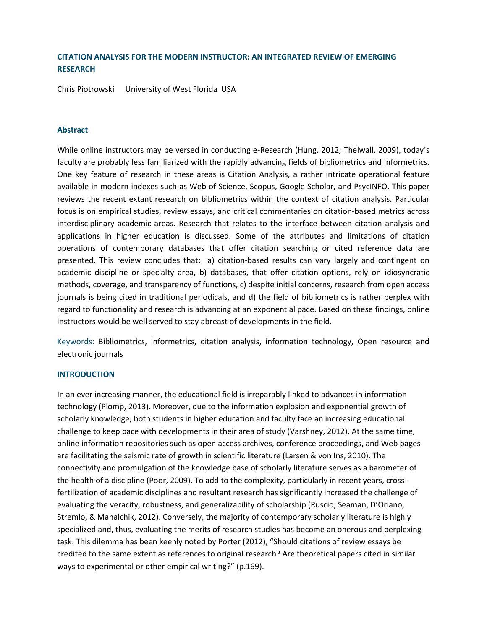# **CITATION ANALYSIS FOR THE MODERN INSTRUCTOR: AN INTEGRATED REVIEW OF EMERGING RESEARCH**

Chris Piotrowski University of West Florida USA

## **Abstract**

While online instructors may be versed in conducting e-Research (Hung, 2012; Thelwall, 2009), today's faculty are probably less familiarized with the rapidly advancing fields of bibliometrics and informetrics. One key feature of research in these areas is Citation Analysis, a rather intricate operational feature available in modern indexes such as Web of Science, Scopus, Google Scholar, and PsycINFO. This paper reviews the recent extant research on bibliometrics within the context of citation analysis. Particular focus is on empirical studies, review essays, and critical commentaries on citation-based metrics across interdisciplinary academic areas. Research that relates to the interface between citation analysis and applications in higher education is discussed. Some of the attributes and limitations of citation operations of contemporary databases that offer citation searching or cited reference data are presented. This review concludes that: a) citation-based results can vary largely and contingent on academic discipline or specialty area, b) databases, that offer citation options, rely on idiosyncratic methods, coverage, and transparency of functions, c) despite initial concerns, research from open access journals is being cited in traditional periodicals, and d) the field of bibliometrics is rather perplex with regard to functionality and research is advancing at an exponential pace. Based on these findings, online instructors would be well served to stay abreast of developments in the field.

Keywords: Bibliometrics, informetrics, citation analysis, information technology, Open resource and electronic journals

#### **INTRODUCTION**

In an ever increasing manner, the educational field is irreparably linked to advances in information technology (Plomp, 2013). Moreover, due to the information explosion and exponential growth of scholarly knowledge, both students in higher education and faculty face an increasing educational challenge to keep pace with developments in their area of study (Varshney, 2012). At the same time, online information repositories such as open access archives, conference proceedings, and Web pages are facilitating the seismic rate of growth in scientific literature (Larsen & von Ins, 2010). The connectivity and promulgation of the knowledge base of scholarly literature serves as a barometer of the health of a discipline (Poor, 2009). To add to the complexity, particularly in recent years, crossfertilization of academic disciplines and resultant research has significantly increased the challenge of evaluating the veracity, robustness, and generalizability of scholarship (Ruscio, Seaman, D'Oriano, Stremlo, & Mahalchik, 2012). Conversely, the majority of contemporary scholarly literature is highly specialized and, thus, evaluating the merits of research studies has become an onerous and perplexing task. This dilemma has been keenly noted by Porter (2012), "Should citations of review essays be credited to the same extent as references to original research? Are theoretical papers cited in similar ways to experimental or other empirical writing?" (p.169).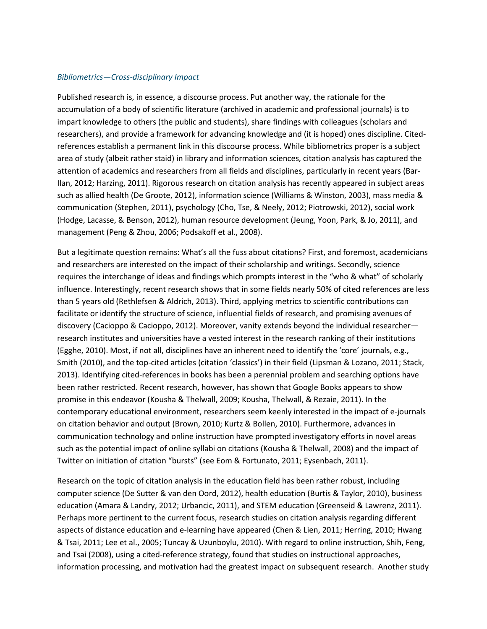## *Bibliometrics—Cross-disciplinary Impact*

Published research is, in essence, a discourse process. Put another way, the rationale for the accumulation of a body of scientific literature (archived in academic and professional journals) is to impart knowledge to others (the public and students), share findings with colleagues (scholars and researchers), and provide a framework for advancing knowledge and (it is hoped) ones discipline. Citedreferences establish a permanent link in this discourse process. While bibliometrics proper is a subject area of study (albeit rather staid) in library and information sciences, citation analysis has captured the attention of academics and researchers from all fields and disciplines, particularly in recent years (Bar-Ilan, 2012; Harzing, 2011). Rigorous research on citation analysis has recently appeared in subject areas such as allied health (De Groote, 2012), information science (Williams & Winston, 2003), mass media & communication (Stephen, 2011), psychology (Cho, Tse, & Neely, 2012; Piotrowski, 2012), social work (Hodge, Lacasse, & Benson, 2012), human resource development (Jeung, Yoon, Park, & Jo, 2011), and management (Peng & Zhou, 2006; Podsakoff et al., 2008).

But a legitimate question remains: What's all the fuss about citations? First, and foremost, academicians and researchers are interested on the impact of their scholarship and writings. Secondly, science requires the interchange of ideas and findings which prompts interest in the "who & what" of scholarly influence. Interestingly, recent research shows that in some fields nearly 50% of cited references are less than 5 years old (Rethlefsen & Aldrich, 2013). Third, applying metrics to scientific contributions can facilitate or identify the structure of science, influential fields of research, and promising avenues of discovery (Cacioppo & Cacioppo, 2012). Moreover, vanity extends beyond the individual researcher research institutes and universities have a vested interest in the research ranking of their institutions (Egghe, 2010). Most, if not all, disciplines have an inherent need to identify the 'core' journals, e.g., Smith (2010), and the top-cited articles (citation 'classics') in their field (Lipsman & Lozano, 2011; Stack, 2013). Identifying cited-references in books has been a perennial problem and searching options have been rather restricted. Recent research, however, has shown that Google Books appears to show promise in this endeavor (Kousha & Thelwall, 2009; Kousha, Thelwall, & Rezaie, 2011). In the contemporary educational environment, researchers seem keenly interested in the impact of e-journals on citation behavior and output (Brown, 2010; Kurtz & Bollen, 2010). Furthermore, advances in communication technology and online instruction have prompted investigatory efforts in novel areas such as the potential impact of online syllabi on citations (Kousha & Thelwall, 2008) and the impact of Twitter on initiation of citation "bursts" (see Eom & Fortunato, 2011; Eysenbach, 2011).

Research on the topic of citation analysis in the education field has been rather robust, including computer science (De Sutter & van den Oord, 2012), health education (Burtis & Taylor, 2010), business education (Amara & Landry, 2012; Urbancic, 2011), and STEM education (Greenseid & Lawrenz, 2011). Perhaps more pertinent to the current focus, research studies on citation analysis regarding different aspects of distance education and e-learning have appeared (Chen & Lien, 2011; Herring, 2010; Hwang & Tsai, 2011; Lee et al., 2005; Tuncay & Uzunboylu, 2010). With regard to online instruction, Shih, Feng, and Tsai (2008), using a cited-reference strategy, found that studies on instructional approaches, information processing, and motivation had the greatest impact on subsequent research. Another study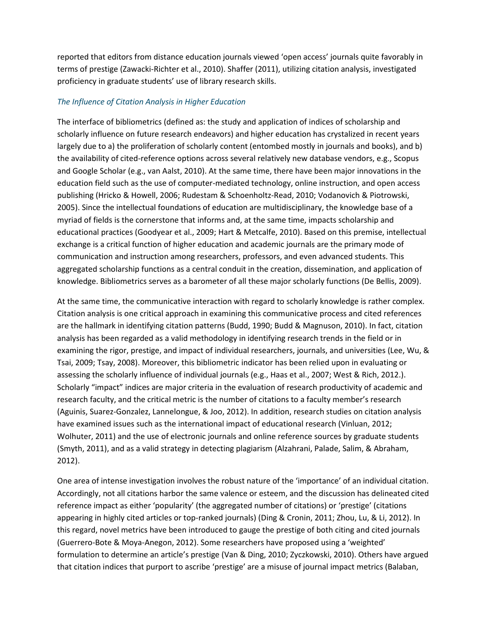reported that editors from distance education journals viewed 'open access' journals quite favorably in terms of prestige (Zawacki-Richter et al., 2010). Shaffer (2011), utilizing citation analysis, investigated proficiency in graduate students' use of library research skills.

# *The Influence of Citation Analysis in Higher Education*

The interface of bibliometrics (defined as: the study and application of indices of scholarship and scholarly influence on future research endeavors) and higher education has crystalized in recent years largely due to a) the proliferation of scholarly content (entombed mostly in journals and books), and b) the availability of cited-reference options across several relatively new database vendors, e.g., Scopus and Google Scholar (e.g., van Aalst, 2010). At the same time, there have been major innovations in the education field such as the use of computer-mediated technology, online instruction, and open access publishing (Hricko & Howell, 2006; Rudestam & Schoenholtz-Read, 2010; Vodanovich & Piotrowski, 2005). Since the intellectual foundations of education are multidisciplinary, the knowledge base of a myriad of fields is the cornerstone that informs and, at the same time, impacts scholarship and educational practices (Goodyear et al., 2009; Hart & Metcalfe, 2010). Based on this premise, intellectual exchange is a critical function of higher education and academic journals are the primary mode of communication and instruction among researchers, professors, and even advanced students. This aggregated scholarship functions as a central conduit in the creation, dissemination, and application of knowledge. Bibliometrics serves as a barometer of all these major scholarly functions (De Bellis, 2009).

At the same time, the communicative interaction with regard to scholarly knowledge is rather complex. Citation analysis is one critical approach in examining this communicative process and cited references are the hallmark in identifying citation patterns (Budd, 1990; Budd & Magnuson, 2010). In fact, citation analysis has been regarded as a valid methodology in identifying research trends in the field or in examining the rigor, prestige, and impact of individual researchers, journals, and universities (Lee, Wu, & Tsai, 2009; Tsay, 2008). Moreover, this bibliometric indicator has been relied upon in evaluating or assessing the scholarly influence of individual journals (e.g., Haas et al., 2007; West & Rich, 2012.). Scholarly "impact" indices are major criteria in the evaluation of research productivity of academic and research faculty, and the critical metric is the number of citations to a faculty member's research (Aguinis, Suarez-Gonzalez, Lannelongue, & Joo, 2012). In addition, research studies on citation analysis have examined issues such as the international impact of educational research (Vinluan, 2012; Wolhuter, 2011) and the use of electronic journals and online reference sources by graduate students (Smyth, 2011), and as a valid strategy in detecting plagiarism (Alzahrani, Palade, Salim, & Abraham, 2012).

One area of intense investigation involves the robust nature of the 'importance' of an individual citation. Accordingly, not all citations harbor the same valence or esteem, and the discussion has delineated cited reference impact as either 'popularity' (the aggregated number of citations) or 'prestige' (citations appearing in highly cited articles or top-ranked journals) (Ding & Cronin, 2011; Zhou, Lu, & Li, 2012). In this regard, novel metrics have been introduced to gauge the prestige of both citing and cited journals (Guerrero-Bote & Moya-Anegon, 2012). Some researchers have proposed using a 'weighted' formulation to determine an article's prestige (Van & Ding, 2010; Zyczkowski, 2010). Others have argued that citation indices that purport to ascribe 'prestige' are a misuse of journal impact metrics (Balaban,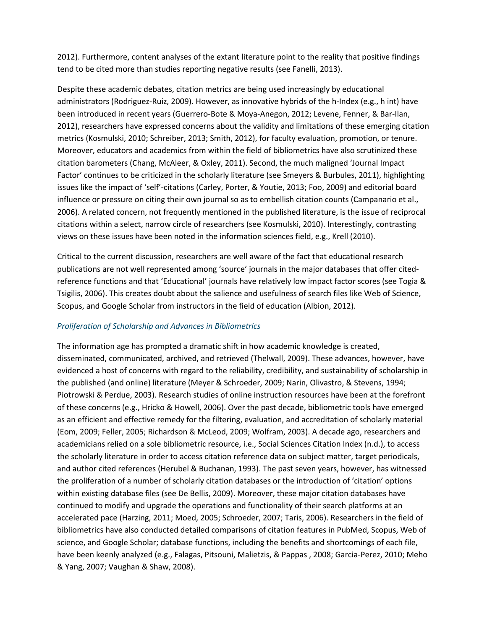2012). Furthermore, content analyses of the extant literature point to the reality that positive findings tend to be cited more than studies reporting negative results (see Fanelli, 2013).

Despite these academic debates, citation metrics are being used increasingly by educational administrators (Rodriguez-Ruiz, 2009). However, as innovative hybrids of the h-Index (e.g., h int) have been introduced in recent years (Guerrero-Bote & Moya-Anegon, 2012; Levene, Fenner, & Bar-Ilan, 2012), researchers have expressed concerns about the validity and limitations of these emerging citation metrics (Kosmulski, 2010; Schreiber, 2013; Smith, 2012), for faculty evaluation, promotion, or tenure. Moreover, educators and academics from within the field of bibliometrics have also scrutinized these citation barometers (Chang, McAleer, & Oxley, 2011). Second, the much maligned 'Journal Impact Factor' continues to be criticized in the scholarly literature (see Smeyers & Burbules, 2011), highlighting issues like the impact of 'self'-citations (Carley, Porter, & Youtie, 2013; Foo, 2009) and editorial board influence or pressure on citing their own journal so as to embellish citation counts (Campanario et al., 2006). A related concern, not frequently mentioned in the published literature, is the issue of reciprocal citations within a select, narrow circle of researchers (see Kosmulski, 2010). Interestingly, contrasting views on these issues have been noted in the information sciences field, e.g., Krell (2010).

Critical to the current discussion, researchers are well aware of the fact that educational research publications are not well represented among 'source' journals in the major databases that offer citedreference functions and that 'Educational' journals have relatively low impact factor scores (see Togia & Tsigilis, 2006). This creates doubt about the salience and usefulness of search files like Web of Science, Scopus, and Google Scholar from instructors in the field of education (Albion, 2012).

# *Proliferation of Scholarship and Advances in Bibliometrics*

The information age has prompted a dramatic shift in how academic knowledge is created, disseminated, communicated, archived, and retrieved (Thelwall, 2009). These advances, however, have evidenced a host of concerns with regard to the reliability, credibility, and sustainability of scholarship in the published (and online) literature (Meyer & Schroeder, 2009; Narin, Olivastro, & Stevens, 1994; Piotrowski & Perdue, 2003). Research studies of online instruction resources have been at the forefront of these concerns (e.g., Hricko & Howell, 2006). Over the past decade, bibliometric tools have emerged as an efficient and effective remedy for the filtering, evaluation, and accreditation of scholarly material (Eom, 2009; Feller, 2005; Richardson & McLeod, 2009; Wolfram, 2003). A decade ago, researchers and academicians relied on a sole bibliometric resource, i.e., Social Sciences Citation Index (n.d.), to access the scholarly literature in order to access citation reference data on subject matter, target periodicals, and author cited references (Herubel & Buchanan, 1993). The past seven years, however, has witnessed the proliferation of a number of scholarly citation databases or the introduction of 'citation' options within existing database files (see De Bellis, 2009). Moreover, these major citation databases have continued to modify and upgrade the operations and functionality of their search platforms at an accelerated pace (Harzing, 2011; Moed, 2005; Schroeder, 2007; Taris, 2006). Researchers in the field of bibliometrics have also conducted detailed comparisons of citation features in PubMed, Scopus, Web of science, and Google Scholar; database functions, including the benefits and shortcomings of each file, have been keenly analyzed (e.g., Falagas, Pitsouni, Malietzis, & Pappas , 2008; Garcia-Perez, 2010; Meho & Yang, 2007; Vaughan & Shaw, 2008).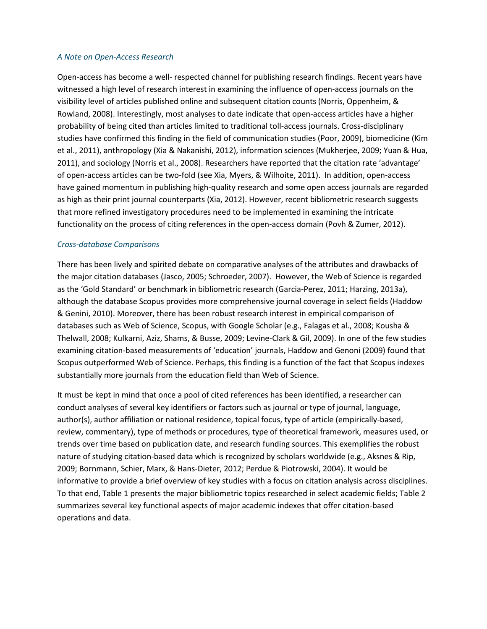### *A Note on Open-Access Research*

Open-access has become a well- respected channel for publishing research findings. Recent years have witnessed a high level of research interest in examining the influence of open-access journals on the visibility level of articles published online and subsequent citation counts (Norris, Oppenheim, & Rowland, 2008). Interestingly, most analyses to date indicate that open-access articles have a higher probability of being cited than articles limited to traditional toll-access journals. Cross-disciplinary studies have confirmed this finding in the field of communication studies (Poor, 2009), biomedicine (Kim et al., 2011), anthropology (Xia & Nakanishi, 2012), information sciences (Mukherjee, 2009; Yuan & Hua, 2011), and sociology (Norris et al., 2008). Researchers have reported that the citation rate 'advantage' of open-access articles can be two-fold (see Xia, Myers, & Wilhoite, 2011). In addition, open-access have gained momentum in publishing high-quality research and some open access journals are regarded as high as their print journal counterparts (Xia, 2012). However, recent bibliometric research suggests that more refined investigatory procedures need to be implemented in examining the intricate functionality on the process of citing references in the open-access domain (Povh & Zumer, 2012).

# *Cross-database Comparisons*

There has been lively and spirited debate on comparative analyses of the attributes and drawbacks of the major citation databases (Jasco, 2005; Schroeder, 2007). However, the Web of Science is regarded as the 'Gold Standard' or benchmark in bibliometric research (Garcia-Perez, 2011; Harzing, 2013a), although the database Scopus provides more comprehensive journal coverage in select fields (Haddow & Genini, 2010). Moreover, there has been robust research interest in empirical comparison of databases such as Web of Science, Scopus, with Google Scholar (e.g., Falagas et al., 2008; Kousha & Thelwall, 2008; Kulkarni, Aziz, Shams, & Busse, 2009; Levine-Clark & Gil, 2009). In one of the few studies examining citation-based measurements of 'education' journals, Haddow and Genoni (2009) found that Scopus outperformed Web of Science. Perhaps, this finding is a function of the fact that Scopus indexes substantially more journals from the education field than Web of Science.

It must be kept in mind that once a pool of cited references has been identified, a researcher can conduct analyses of several key identifiers or factors such as journal or type of journal, language, author(s), author affiliation or national residence, topical focus, type of article (empirically-based, review, commentary), type of methods or procedures, type of theoretical framework, measures used, or trends over time based on publication date, and research funding sources. This exemplifies the robust nature of studying citation-based data which is recognized by scholars worldwide (e.g., Aksnes & Rip, 2009; Bornmann, Schier, Marx, & Hans-Dieter, 2012; Perdue & Piotrowski, 2004). It would be informative to provide a brief overview of key studies with a focus on citation analysis across disciplines. To that end, Table 1 presents the major bibliometric topics researched in select academic fields; Table 2 summarizes several key functional aspects of major academic indexes that offer citation-based operations and data.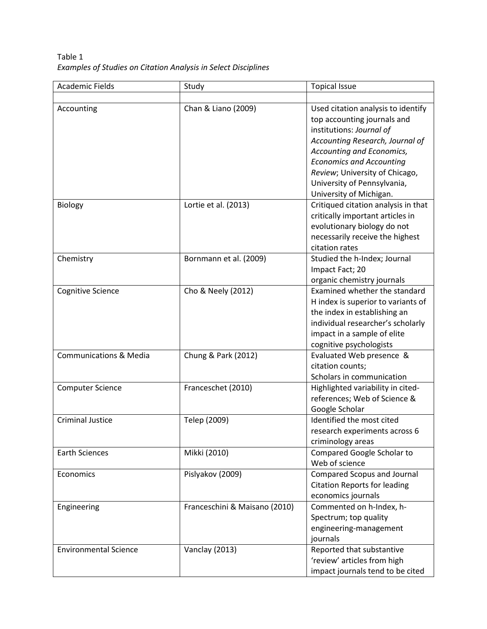Table 1 *Examples of Studies on Citation Analysis in Select Disciplines*

| <b>Academic Fields</b>            | Study                         | <b>Topical Issue</b>                |
|-----------------------------------|-------------------------------|-------------------------------------|
|                                   |                               |                                     |
| Accounting                        | Chan & Liano (2009)           | Used citation analysis to identify  |
|                                   |                               | top accounting journals and         |
|                                   |                               | institutions: Journal of            |
|                                   |                               | Accounting Research, Journal of     |
|                                   |                               | Accounting and Economics,           |
|                                   |                               | <b>Economics and Accounting</b>     |
|                                   |                               | Review; University of Chicago,      |
|                                   |                               | University of Pennsylvania,         |
|                                   |                               | University of Michigan.             |
| Biology                           | Lortie et al. (2013)          | Critiqued citation analysis in that |
|                                   |                               | critically important articles in    |
|                                   |                               | evolutionary biology do not         |
|                                   |                               | necessarily receive the highest     |
|                                   |                               | citation rates                      |
| Chemistry                         | Bornmann et al. (2009)        | Studied the h-Index; Journal        |
|                                   |                               | Impact Fact; 20                     |
|                                   |                               | organic chemistry journals          |
| <b>Cognitive Science</b>          | Cho & Neely (2012)            | Examined whether the standard       |
|                                   |                               | H index is superior to variants of  |
|                                   |                               | the index in establishing an        |
|                                   |                               | individual researcher's scholarly   |
|                                   |                               | impact in a sample of elite         |
|                                   |                               | cognitive psychologists             |
| <b>Communications &amp; Media</b> | Chung & Park (2012)           | Evaluated Web presence &            |
|                                   |                               | citation counts;                    |
|                                   |                               | Scholars in communication           |
| <b>Computer Science</b>           | Franceschet (2010)            | Highlighted variability in cited-   |
|                                   |                               | references; Web of Science &        |
|                                   |                               | Google Scholar                      |
| <b>Criminal Justice</b>           | Telep (2009)                  | Identified the most cited           |
|                                   |                               | research experiments across 6       |
|                                   |                               | criminology areas                   |
| <b>Earth Sciences</b>             | Mikki (2010)                  | Compared Google Scholar to          |
|                                   |                               | Web of science                      |
| Economics                         | Pislyakov (2009)              | <b>Compared Scopus and Journal</b>  |
|                                   |                               | <b>Citation Reports for leading</b> |
|                                   |                               | economics journals                  |
| Engineering                       | Franceschini & Maisano (2010) | Commented on h-Index, h-            |
|                                   |                               | Spectrum; top quality               |
|                                   |                               | engineering-management              |
|                                   |                               | journals                            |
| <b>Environmental Science</b>      | Vanclay (2013)                | Reported that substantive           |
|                                   |                               | 'review' articles from high         |
|                                   |                               | impact journals tend to be cited    |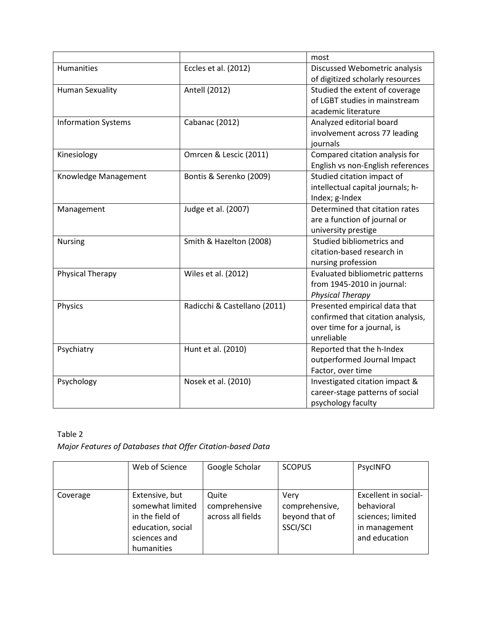|                            |                              | most                              |
|----------------------------|------------------------------|-----------------------------------|
| Humanities                 | Eccles et al. (2012)         | Discussed Webometric analysis     |
|                            |                              | of digitized scholarly resources  |
| <b>Human Sexuality</b>     | Antell (2012)                | Studied the extent of coverage    |
|                            |                              | of LGBT studies in mainstream     |
|                            |                              | academic literature               |
| <b>Information Systems</b> | Cabanac (2012)               | Analyzed editorial board          |
|                            |                              | involvement across 77 leading     |
|                            |                              | journals                          |
| Kinesiology                | Omrcen & Lescic (2011)       | Compared citation analysis for    |
|                            |                              | English vs non-English references |
| Knowledge Management       | Bontis & Serenko (2009)      | Studied citation impact of        |
|                            |                              | intellectual capital journals; h- |
|                            |                              | Index; g-Index                    |
| Management                 | Judge et al. (2007)          | Determined that citation rates    |
|                            |                              | are a function of journal or      |
|                            |                              | university prestige               |
| <b>Nursing</b>             | Smith & Hazelton (2008)      | Studied bibliometrics and         |
|                            |                              | citation-based research in        |
|                            |                              | nursing profession                |
| Physical Therapy           | Wiles et al. (2012)          | Evaluated bibliometric patterns   |
|                            |                              | from 1945-2010 in journal:        |
|                            |                              | <b>Physical Therapy</b>           |
| Physics                    | Radicchi & Castellano (2011) | Presented empirical data that     |
|                            |                              | confirmed that citation analysis, |
|                            |                              | over time for a journal, is       |
|                            |                              | unreliable                        |
| Psychiatry                 | Hunt et al. (2010)           | Reported that the h-Index         |
|                            |                              | outperformed Journal Impact       |
|                            |                              | Factor, over time                 |
| Psychology                 | Nosek et al. (2010)          | Investigated citation impact &    |
|                            |                              | career-stage patterns of social   |
|                            |                              | psychology faculty                |

# Table 2

*Major Features of Databases that Offer Citation-based Data*

|          | Web of Science                                                                                           | Google Scholar                              | <b>SCOPUS</b>                                        | PsycINFO                                                                                  |
|----------|----------------------------------------------------------------------------------------------------------|---------------------------------------------|------------------------------------------------------|-------------------------------------------------------------------------------------------|
| Coverage | Extensive, but<br>somewhat limited<br>in the field of<br>education, social<br>sciences and<br>humanities | Quite<br>comprehensive<br>across all fields | Very<br>comprehensive,<br>beyond that of<br>SSCI/SCI | Excellent in social-<br>behavioral<br>sciences; limited<br>in management<br>and education |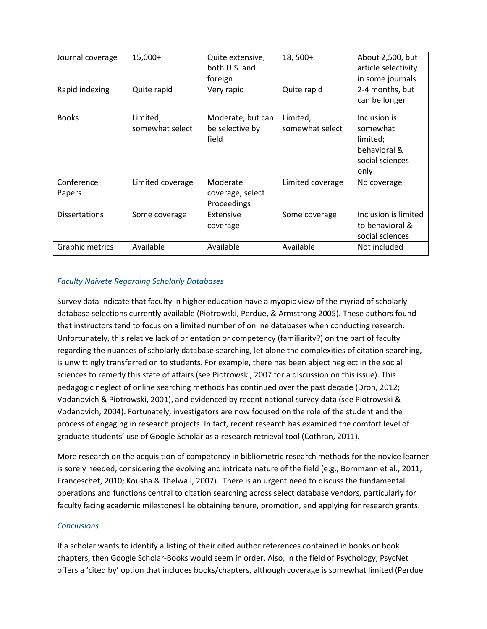| Journal coverage     | $15,000+$                   | Quite extensive,<br>both U.S. and<br>foreign  | $18,500+$                   | About 2,500, but<br>article selectivity<br>in some journals                     |
|----------------------|-----------------------------|-----------------------------------------------|-----------------------------|---------------------------------------------------------------------------------|
| Rapid indexing       | Quite rapid                 | Very rapid                                    | Quite rapid                 | 2-4 months, but<br>can be longer                                                |
| <b>Books</b>         | Limited,<br>somewhat select | Moderate, but can<br>be selective by<br>field | Limited,<br>somewhat select | Inclusion is<br>somewhat<br>limited;<br>behavioral &<br>social sciences<br>only |
| Conference<br>Papers | Limited coverage            | Moderate<br>coverage; select<br>Proceedings   | Limited coverage            | No coverage                                                                     |
| <b>Dissertations</b> | Some coverage               | Extensive<br>coverage                         | Some coverage               | Inclusion is limited<br>to behavioral &<br>social sciences                      |
| Graphic metrics      | Available                   | Available                                     | Available                   | Not included                                                                    |

# *Faculty Naivete Regarding Scholarly Databases*

Survey data indicate that faculty in higher education have a myopic view of the myriad of scholarly database selections currently available (Piotrowski, Perdue, & Armstrong 2005). These authors found that instructors tend to focus on a limited number of online databases when conducting research. Unfortunately, this relative lack of orientation or competency (familiarity?) on the part of faculty regarding the nuances of scholarly database searching, let alone the complexities of citation searching, is unwittingly transferred on to students. For example, there has been abject neglect in the social sciences to remedy this state of affairs (see Piotrowski, 2007 for a discussion on this issue). This pedagogic neglect of online searching methods has continued over the past decade (Dron, 2012; Vodanovich & Piotrowski, 2001), and evidenced by recent national survey data (see Piotrowski & Vodanovich, 2004). Fortunately, investigators are now focused on the role of the student and the process of engaging in research projects. In fact, recent research has examined the comfort level of graduate students' use of Google Scholar as a research retrieval tool (Cothran, 2011).

More research on the acquisition of competency in bibliometric research methods for the novice learner is sorely needed, considering the evolving and intricate nature of the field (e.g., Bornmann et al., 2011; Franceschet, 2010; Kousha & Thelwall, 2007). There is an urgent need to discuss the fundamental operations and functions central to citation searching across select database vendors, particularly for faculty facing academic milestones like obtaining tenure, promotion, and applying for research grants.

# *Conclusions*

If a scholar wants to identify a listing of their cited author references contained in books or book chapters, then Google Scholar-Books would seem in order. Also, in the field of Psychology, PsycNet offers a 'cited by' option that includes books/chapters, although coverage is somewhat limited (Perdue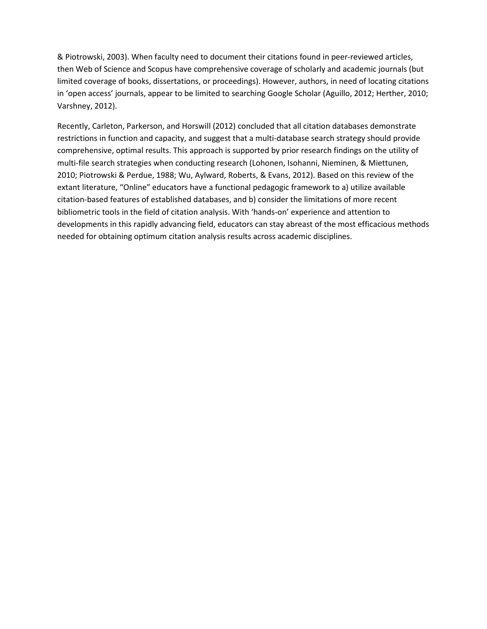& Piotrowski, 2003). When faculty need to document their citations found in peer-reviewed articles, then Web of Science and Scopus have comprehensive coverage of scholarly and academic journals (but limited coverage of books, dissertations, or proceedings). However, authors, in need of locating citations in 'open access' journals, appear to be limited to searching Google Scholar (Aguillo, 2012; Herther, 2010; Varshney, 2012).

Recently, Carleton, Parkerson, and Horswill (2012) concluded that all citation databases demonstrate restrictions in function and capacity, and suggest that a multi-database search strategy should provide comprehensive, optimal results. This approach is supported by prior research findings on the utility of multi-file search strategies when conducting research (Lohonen, Isohanni, Nieminen, & Miettunen, 2010; Piotrowski & Perdue, 1988; Wu, Aylward, Roberts, & Evans, 2012). Based on this review of the extant literature, "Online" educators have a functional pedagogic framework to a) utilize available citation-based features of established databases, and b) consider the limitations of more recent bibliometric tools in the field of citation analysis. With 'hands-on' experience and attention to developments in this rapidly advancing field, educators can stay abreast of the most efficacious methods needed for obtaining optimum citation analysis results across academic disciplines.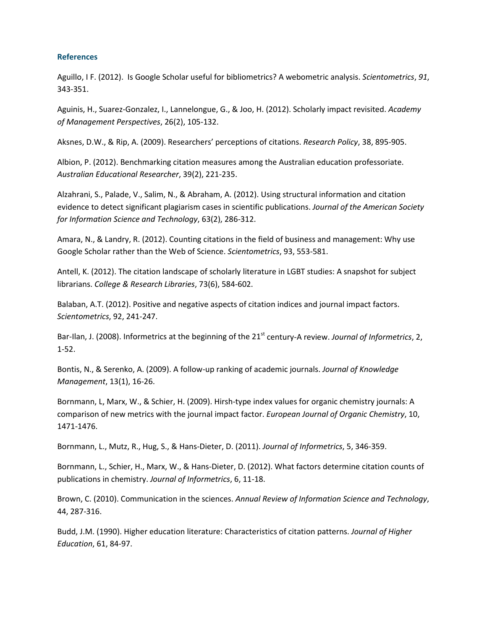## **References**

Aguillo, I F. (2012). Is Google Scholar useful for bibliometrics? A webometric analysis. *Scientometrics*, *91*, 343-351.

Aguinis, H., Suarez-Gonzalez, I., Lannelongue, G., & Joo, H. (2012). Scholarly impact revisited. *Academy of Management Perspectives*, 26(2), 105-132.

Aksnes, D.W., & Rip, A. (2009). Researchers' perceptions of citations. *Research Policy*, 38, 895-905.

Albion, P. (2012). Benchmarking citation measures among the Australian education professoriate. *Australian Educational Researcher*, 39(2), 221-235.

Alzahrani, S., Palade, V., Salim, N., & Abraham, A. (2012). Using structural information and citation evidence to detect significant plagiarism cases in scientific publications. *Journal of the American Society for Information Science and Technology*, 63(2), 286-312.

Amara, N., & Landry, R. (2012). Counting citations in the field of business and management: Why use Google Scholar rather than the Web of Science. *Scientometrics*, 93, 553-581.

Antell, K. (2012). The citation landscape of scholarly literature in LGBT studies: A snapshot for subject librarians. *College & Research Libraries*, 73(6), 584-602.

Balaban, A.T. (2012). Positive and negative aspects of citation indices and journal impact factors. *Scientometrics*, 92, 241-247.

Bar-Ilan, J. (2008). Informetrics at the beginning of the 21<sup>st</sup> century-A review. *Journal of Informetrics*, 2, 1-52.

Bontis, N., & Serenko, A. (2009). A follow-up ranking of academic journals. *Journal of Knowledge Management*, 13(1), 16-26.

Bornmann, L, Marx, W., & Schier, H. (2009). Hirsh-type index values for organic chemistry journals: A comparison of new metrics with the journal impact factor. *European Journal of Organic Chemistry*, 10, 1471-1476.

Bornmann, L., Mutz, R., Hug, S., & Hans-Dieter, D. (2011). *Journal of Informetrics*, 5, 346-359.

Bornmann, L., Schier, H., Marx, W., & Hans-Dieter, D. (2012). What factors determine citation counts of publications in chemistry. *Journal of Informetrics*, 6, 11-18.

Brown, C. (2010). Communication in the sciences. *Annual Review of Information Science and Technology*, 44, 287-316.

Budd, J.M. (1990). Higher education literature: Characteristics of citation patterns. *Journal of Higher Education*, 61, 84-97.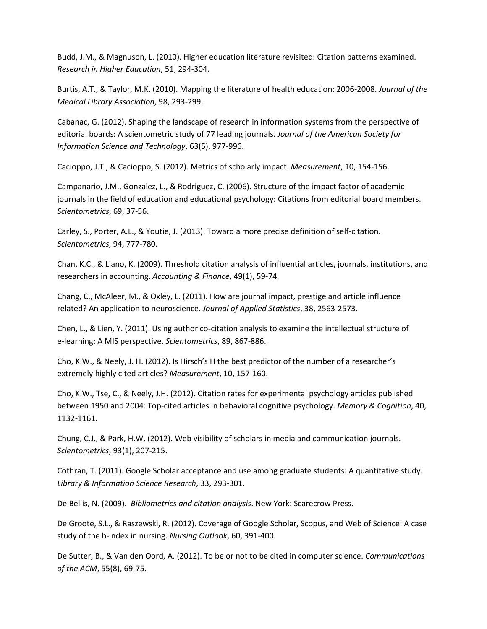Budd, J.M., & Magnuson, L. (2010). Higher education literature revisited: Citation patterns examined. *Research in Higher Education*, 51, 294-304.

Burtis, A.T., & Taylor, M.K. (2010). Mapping the literature of health education: 2006-2008. *Journal of the Medical Library Association*, 98, 293-299.

Cabanac, G. (2012). Shaping the landscape of research in information systems from the perspective of editorial boards: A scientometric study of 77 leading journals. *Journal of the American Society for Information Science and Technology*, 63(5), 977-996.

Cacioppo, J.T., & Cacioppo, S. (2012). Metrics of scholarly impact. *Measurement*, 10, 154-156.

Campanario, J.M., Gonzalez, L., & Rodriguez, C. (2006). Structure of the impact factor of academic journals in the field of education and educational psychology: Citations from editorial board members. *Scientometrics*, 69, 37-56.

Carley, S., Porter, A.L., & Youtie, J. (2013). Toward a more precise definition of self-citation. *Scientometrics*, 94, 777-780.

Chan, K.C., & Liano, K. (2009). Threshold citation analysis of influential articles, journals, institutions, and researchers in accounting. *Accounting & Finance*, 49(1), 59-74.

Chang, C., McAleer, M., & Oxley, L. (2011). How are journal impact, prestige and article influence related? An application to neuroscience. *Journal of Applied Statistics*, 38, 2563-2573.

Chen, L., & Lien, Y. (2011). Using author co-citation analysis to examine the intellectual structure of e-learning: A MIS perspective. *Scientometrics*, 89, 867-886.

Cho, K.W., & Neely, J. H. (2012). Is Hirsch's H the best predictor of the number of a researcher's extremely highly cited articles? *Measurement*, 10, 157-160.

Cho, K.W., Tse, C., & Neely, J.H. (2012). Citation rates for experimental psychology articles published between 1950 and 2004: Top-cited articles in behavioral cognitive psychology. *Memory & Cognition*, 40, 1132-1161.

Chung, C.J., & Park, H.W. (2012). Web visibility of scholars in media and communication journals. *Scientometrics*, 93(1), 207-215.

Cothran, T. (2011). Google Scholar acceptance and use among graduate students: A quantitative study. *Library & Information Science Research*, 33, 293-301.

De Bellis, N. (2009). *Bibliometrics and citation analysis*. New York: Scarecrow Press.

De Groote, S.L., & Raszewski, R. (2012). Coverage of Google Scholar, Scopus, and Web of Science: A case study of the h-index in nursing. *Nursing Outlook*, 60, 391-400.

De Sutter, B., & Van den Oord, A. (2012). To be or not to be cited in computer science. *Communications of the ACM*, 55(8), 69-75.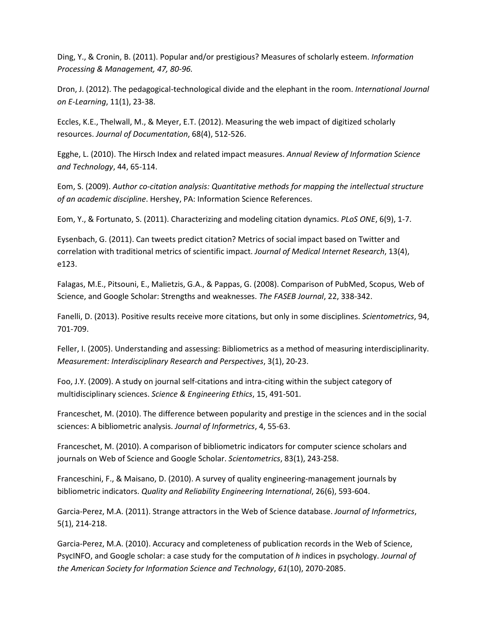Ding, Y., & Cronin, B. (2011). Popular and/or prestigious? Measures of scholarly esteem. *Information Processing & Management, 47, 80-96.*

Dron, J. (2012). The pedagogical-technological divide and the elephant in the room. *International Journal on E-Learning*, 11(1), 23-38.

Eccles, K.E., Thelwall, M., & Meyer, E.T. (2012). Measuring the web impact of digitized scholarly resources. *Journal of Documentation*, 68(4), 512-526.

Egghe, L. (2010). The Hirsch Index and related impact measures. *Annual Review of Information Science and Technology*, 44, 65-114.

Eom, S. (2009). *Author co-citation analysis: Quantitative methods for mapping the intellectual structure of an academic discipline*. Hershey, PA: Information Science References.

Eom, Y., & Fortunato, S. (2011). Characterizing and modeling citation dynamics. *PLoS ONE*, 6(9), 1-7.

Eysenbach, G. (2011). Can tweets predict citation? Metrics of social impact based on Twitter and correlation with traditional metrics of scientific impact. *Journal of Medical Internet Research*, 13(4), e123.

Falagas, M.E., Pitsouni, E., Malietzis, G.A., & Pappas, G. (2008). Comparison of PubMed, Scopus, Web of Science, and Google Scholar: Strengths and weaknesses. *The FASEB Journal*, 22, 338-342.

Fanelli, D. (2013). Positive results receive more citations, but only in some disciplines. *Scientometrics*, 94, 701-709.

Feller, I. (2005). Understanding and assessing: Bibliometrics as a method of measuring interdisciplinarity. *Measurement: Interdisciplinary Research and Perspectives*, 3(1), 20-23.

Foo, J.Y. (2009). A study on journal self-citations and intra-citing within the subject category of multidisciplinary sciences. *Science & Engineering Ethics*, 15, 491-501.

Franceschet, M. (2010). The difference between popularity and prestige in the sciences and in the social sciences: A bibliometric analysis. *Journal of Informetrics*, 4, 55-63.

Franceschet, M. (2010). A comparison of bibliometric indicators for computer science scholars and journals on Web of Science and Google Scholar. *Scientometrics*, 83(1), 243-258.

Franceschini, F., & Maisano, D. (2010). A survey of quality engineering-management journals by bibliometric indicators. *Quality and Reliability Engineering International*, 26(6), 593-604.

Garcia-Perez, M.A. (2011). Strange attractors in the Web of Science database. *Journal of Informetrics*, 5(1), 214-218.

Garcia-Perez, M.A. (2010). Accuracy and completeness of publication records in the Web of Science, PsycINFO, and Google scholar: a case study for the computation of *h* indices in psychology. *Journal of the American Society for Information Science and Technology*, *61*(10), 2070-2085.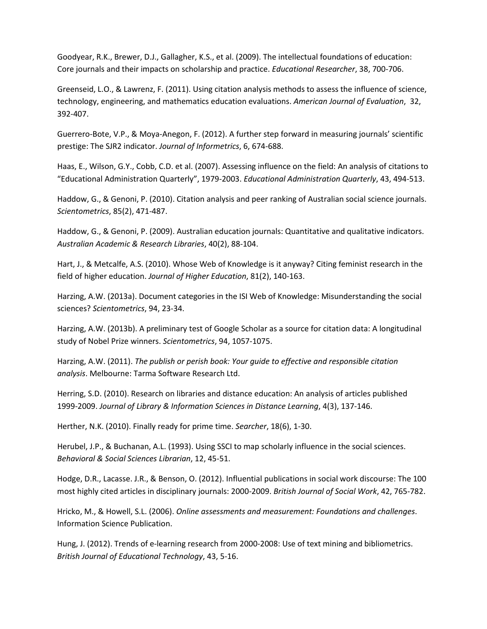Goodyear, R.K., Brewer, D.J., Gallagher, K.S., et al. (2009). The intellectual foundations of education: Core journals and their impacts on scholarship and practice. *Educational Researcher*, 38, 700-706.

Greenseid, L.O., & Lawrenz, F. (2011). Using citation analysis methods to assess the influence of science, technology, engineering, and mathematics education evaluations. *American Journal of Evaluation*, 32, 392-407.

Guerrero-Bote, V.P., & Moya-Anegon, F. (2012). A further step forward in measuring journals' scientific prestige: The SJR2 indicator. *Journal of Informetrics*, 6, 674-688.

Haas, E., Wilson, G.Y., Cobb, C.D. et al. (2007). Assessing influence on the field: An analysis of citations to "Educational Administration Quarterly", 1979-2003. *Educational Administration Quarterly*, 43, 494-513.

Haddow, G., & Genoni, P. (2010). Citation analysis and peer ranking of Australian social science journals. *Scientometrics*, 85(2), 471-487.

Haddow, G., & Genoni, P. (2009). Australian education journals: Quantitative and qualitative indicators. *Australian Academic & Research Libraries*, 40(2), 88-104.

Hart, J., & Metcalfe, A.S. (2010). Whose Web of Knowledge is it anyway? Citing feminist research in the field of higher education. *Journal of Higher Education*, 81(2), 140-163.

Harzing, A.W. (2013a). Document categories in the ISI Web of Knowledge: Misunderstanding the social sciences? *Scientometrics*, 94, 23-34.

Harzing, A.W. (2013b). A preliminary test of Google Scholar as a source for citation data: A longitudinal study of Nobel Prize winners. *Scientometrics*, 94, 1057-1075.

Harzing, A.W. (2011). *The publish or perish book: Your guide to effective and responsible citation analysis*. Melbourne: Tarma Software Research Ltd.

Herring, S.D. (2010). Research on libraries and distance education: An analysis of articles published 1999-2009. *Journal of Library & Information Sciences in Distance Learning*, 4(3), 137-146.

Herther, N.K. (2010). Finally ready for prime time. *Searcher*, 18(6), 1-30.

Herubel, J.P., & Buchanan, A.L. (1993). Using SSCI to map scholarly influence in the social sciences. *Behavioral & Social Sciences Librarian*, 12, 45-51.

Hodge, D.R., Lacasse. J.R., & Benson, O. (2012). Influential publications in social work discourse: The 100 most highly cited articles in disciplinary journals: 2000-2009. *British Journal of Social Work*, 42, 765-782.

Hricko, M., & Howell, S.L. (2006). *Online assessments and measurement: Foundations and challenges*. Information Science Publication.

Hung, J. (2012). Trends of e-learning research from 2000-2008: Use of text mining and bibliometrics. *British Journal of Educational Technology*, 43, 5-16.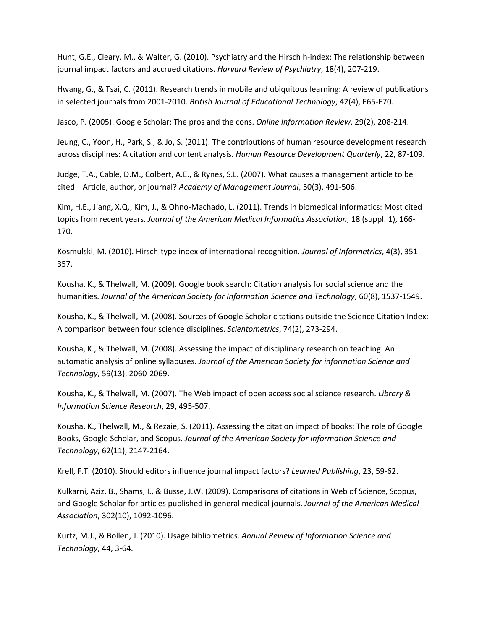Hunt, G.E., Cleary, M., & Walter, G. (2010). Psychiatry and the Hirsch h-index: The relationship between journal impact factors and accrued citations. *Harvard Review of Psychiatry*, 18(4), 207-219.

Hwang, G., & Tsai, C. (2011). Research trends in mobile and ubiquitous learning: A review of publications in selected journals from 2001-2010. *British Journal of Educational Technology*, 42(4), E65-E70.

Jasco, P. (2005). Google Scholar: The pros and the cons. *Online Information Review*, 29(2), 208-214.

Jeung, C., Yoon, H., Park, S., & Jo, S. (2011). The contributions of human resource development research across disciplines: A citation and content analysis. *Human Resource Development Quarterly*, 22, 87-109.

Judge, T.A., Cable, D.M., Colbert, A.E., & Rynes, S.L. (2007). What causes a management article to be cited—Article, author, or journal? *Academy of Management Journal*, 50(3), 491-506.

Kim, H.E., Jiang, X.Q., Kim, J., & Ohno-Machado, L. (2011). Trends in biomedical informatics: Most cited topics from recent years. *Journal of the American Medical Informatics Association*, 18 (suppl. 1), 166- 170.

Kosmulski, M. (2010). Hirsch-type index of international recognition. *Journal of Informetrics*, 4(3), 351- 357.

Kousha, K., & Thelwall, M. (2009). Google book search: Citation analysis for social science and the humanities. *Journal of the American Society for Information Science and Technology*, 60(8), 1537-1549.

Kousha, K., & Thelwall, M. (2008). Sources of Google Scholar citations outside the Science Citation Index: A comparison between four science disciplines. *Scientometrics*, 74(2), 273-294.

Kousha, K., & Thelwall, M. (2008). Assessing the impact of disciplinary research on teaching: An automatic analysis of online syllabuses. *Journal of the American Society for information Science and Technology*, 59(13), 2060-2069.

Kousha, K., & Thelwall, M. (2007). The Web impact of open access social science research. *Library & Information Science Research*, 29, 495-507.

Kousha, K., Thelwall, M., & Rezaie, S. (2011). Assessing the citation impact of books: The role of Google Books, Google Scholar, and Scopus. *Journal of the American Society for Information Science and Technology*, 62(11), 2147-2164.

Krell, F.T. (2010). Should editors influence journal impact factors? *Learned Publishing*, 23, 59-62.

Kulkarni, Aziz, B., Shams, I., & Busse, J.W. (2009). Comparisons of citations in Web of Science, Scopus, and Google Scholar for articles published in general medical journals. *Journal of the American Medical Association*, 302(10), 1092-1096.

Kurtz, M.J., & Bollen, J. (2010). Usage bibliometrics. *Annual Review of Information Science and Technology*, 44, 3-64.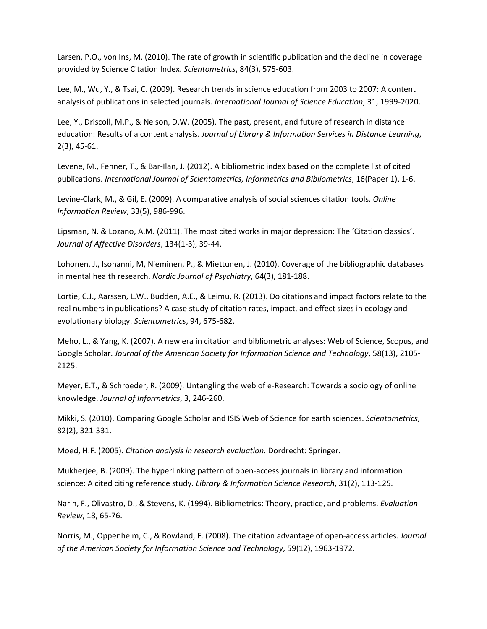Larsen, P.O., von Ins, M. (2010). The rate of growth in scientific publication and the decline in coverage provided by Science Citation Index. *Scientometrics*, 84(3), 575-603.

Lee, M., Wu, Y., & Tsai, C. (2009). Research trends in science education from 2003 to 2007: A content analysis of publications in selected journals. *International Journal of Science Education*, 31, 1999-2020.

Lee, Y., Driscoll, M.P., & Nelson, D.W. (2005). The past, present, and future of research in distance education: Results of a content analysis. *Journal of Library & Information Services in Distance Learning*, 2(3), 45-61.

Levene, M., Fenner, T., & Bar-Ilan, J. (2012). A bibliometric index based on the complete list of cited publications. *International Journal of Scientometrics, Informetrics and Bibliometrics*, 16(Paper 1), 1-6.

Levine-Clark, M., & Gil, E. (2009). A comparative analysis of social sciences citation tools. *Online Information Review*, 33(5), 986-996.

Lipsman, N. & Lozano, A.M. (2011). The most cited works in major depression: The 'Citation classics'. *Journal of Affective Disorders*, 134(1-3), 39-44.

Lohonen, J., Isohanni, M, Nieminen, P., & Miettunen, J. (2010). Coverage of the bibliographic databases in mental health research. *Nordic Journal of Psychiatry*, 64(3), 181-188.

Lortie, C.J., Aarssen, L.W., Budden, A.E., & Leimu, R. (2013). Do citations and impact factors relate to the real numbers in publications? A case study of citation rates, impact, and effect sizes in ecology and evolutionary biology. *Scientometrics*, 94, 675-682.

Meho, L., & Yang, K. (2007). A new era in citation and bibliometric analyses: Web of Science, Scopus, and Google Scholar. *Journal of the American Society for Information Science and Technology*, 58(13), 2105- 2125.

Meyer, E.T., & Schroeder, R. (2009). Untangling the web of e-Research: Towards a sociology of online knowledge. *Journal of Informetrics*, 3, 246-260.

Mikki, S. (2010). Comparing Google Scholar and ISIS Web of Science for earth sciences. *Scientometrics*, 82(2), 321-331.

Moed, H.F. (2005). *Citation analysis in research evaluation*. Dordrecht: Springer.

Mukherjee, B. (2009). The hyperlinking pattern of open-access journals in library and information science: A cited citing reference study. *Library & Information Science Research*, 31(2), 113-125.

Narin, F., Olivastro, D., & Stevens, K. (1994). Bibliometrics: Theory, practice, and problems. *Evaluation Review*, 18, 65-76.

Norris, M., Oppenheim, C., & Rowland, F. (2008). The citation advantage of open-access articles. *Journal of the American Society for Information Science and Technology*, 59(12), 1963-1972.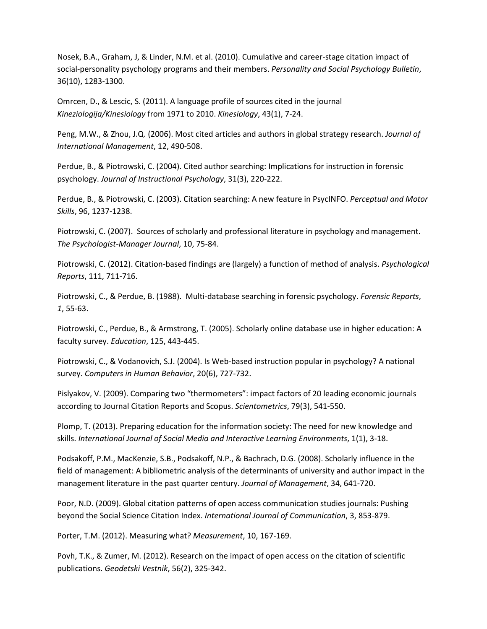Nosek, B.A., Graham, J, & Linder, N.M. et al. (2010). Cumulative and career-stage citation impact of social-personality psychology programs and their members. *Personality and Social Psychology Bulletin*, 36(10), 1283-1300.

Omrcen, D., & Lescic, S. (2011). A language profile of sources cited in the journal *Kineziologija/Kinesiology* from 1971 to 2010. *Kinesiology*, 43(1), 7-24.

Peng, M.W., & Zhou, J.Q. (2006). Most cited articles and authors in global strategy research. *Journal of International Management*, 12, 490-508.

Perdue, B., & Piotrowski, C. (2004). Cited author searching: Implications for instruction in forensic psychology. *Journal of Instructional Psychology*, 31(3), 220-222.

Perdue, B., & Piotrowski, C. (2003). Citation searching: A new feature in PsycINFO. *Perceptual and Motor Skills*, 96, 1237-1238.

Piotrowski, C. (2007). Sources of scholarly and professional literature in psychology and management. *The Psychologist-Manager Journal*, 10, 75-84.

Piotrowski, C. (2012). Citation-based findings are (largely) a function of method of analysis. *Psychological Reports*, 111, 711-716.

Piotrowski, C., & Perdue, B. (1988). Multi-database searching in forensic psychology. *Forensic Reports*, *1*, 55-63.

Piotrowski, C., Perdue, B., & Armstrong, T. (2005). Scholarly online database use in higher education: A faculty survey. *Education*, 125, 443-445.

Piotrowski, C., & Vodanovich, S.J. (2004). Is Web-based instruction popular in psychology? A national survey. *Computers in Human Behavior*, 20(6), 727-732.

Pislyakov, V. (2009). Comparing two "thermometers": impact factors of 20 leading economic journals according to Journal Citation Reports and Scopus. *Scientometrics*, 79(3), 541-550.

Plomp, T. (2013). Preparing education for the information society: The need for new knowledge and skills. *International Journal of Social Media and Interactive Learning Environments*, 1(1), 3-18.

Podsakoff, P.M., MacKenzie, S.B., Podsakoff, N.P., & Bachrach, D.G. (2008). Scholarly influence in the field of management: A bibliometric analysis of the determinants of university and author impact in the management literature in the past quarter century. *Journal of Management*, 34, 641-720.

Poor, N.D. (2009). Global citation patterns of open access communication studies journals: Pushing beyond the Social Science Citation Index. *International Journal of Communication*, 3, 853-879.

Porter, T.M. (2012). Measuring what? *Measurement*, 10, 167-169.

Povh, T.K., & Zumer, M. (2012). Research on the impact of open access on the citation of scientific publications. *Geodetski Vestnik*, 56(2), 325-342.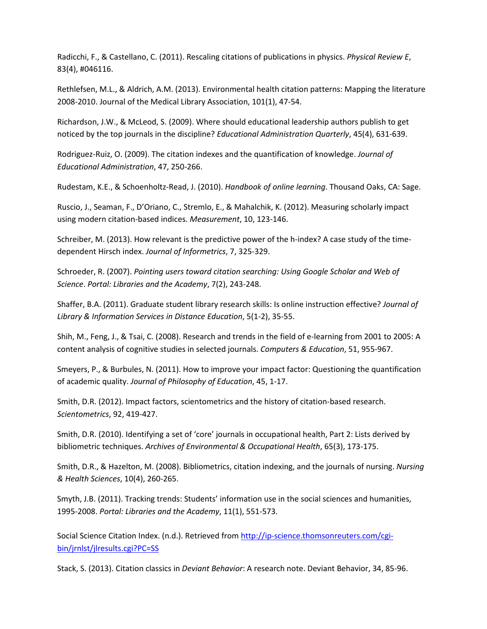Radicchi, F., & Castellano, C. (2011). Rescaling citations of publications in physics. *Physical Review E*, 83(4), #046116.

Rethlefsen, M.L., & Aldrich, A.M. (2013). Environmental health citation patterns: Mapping the literature 2008-2010. Journal of the Medical Library Association, 101(1), 47-54.

Richardson, J.W., & McLeod, S. (2009). Where should educational leadership authors publish to get noticed by the top journals in the discipline? *Educational Administration Quarterly*, 45(4), 631-639.

Rodriguez-Ruiz, O. (2009). The citation indexes and the quantification of knowledge. *Journal of Educational Administration*, 47, 250-266.

Rudestam, K.E., & Schoenholtz-Read, J. (2010). *Handbook of online learning*. Thousand Oaks, CA: Sage.

Ruscio, J., Seaman, F., D'Oriano, C., Stremlo, E., & Mahalchik, K. (2012). Measuring scholarly impact using modern citation-based indices. *Measurement*, 10, 123-146.

Schreiber, M. (2013). How relevant is the predictive power of the h-index? A case study of the timedependent Hirsch index. *Journal of Informetrics*, 7, 325-329.

Schroeder, R. (2007). *Pointing users toward citation searching: Using Google Scholar and Web of Science*. *Portal: Libraries and the Academy*, 7(2), 243-248.

Shaffer, B.A. (2011). Graduate student library research skills: Is online instruction effective? *Journal of Library & Information Services in Distance Education*, 5(1-2), 35-55.

Shih, M., Feng, J., & Tsai, C. (2008). Research and trends in the field of e-learning from 2001 to 2005: A content analysis of cognitive studies in selected journals. *Computers & Education*, 51, 955-967.

Smeyers, P., & Burbules, N. (2011). How to improve your impact factor: Questioning the quantification of academic quality. *Journal of Philosophy of Education*, 45, 1-17.

Smith, D.R. (2012). Impact factors, scientometrics and the history of citation-based research. *Scientometrics*, 92, 419-427.

Smith, D.R. (2010). Identifying a set of 'core' journals in occupational health, Part 2: Lists derived by bibliometric techniques. *Archives of Environmental & Occupational Health*, 65(3), 173-175.

Smith, D.R., & Hazelton, M. (2008). Bibliometrics, citation indexing, and the journals of nursing. *Nursing & Health Sciences*, 10(4), 260-265.

Smyth, J.B. (2011). Tracking trends: Students' information use in the social sciences and humanities, 1995-2008. *Portal: Libraries and the Academy*, 11(1), 551-573.

Social Science Citation Index. (n.d.). Retrieved from [http://ip-science.thomsonreuters.com/cgi](http://ip-science.thomsonreuters.com/cgi-bin/jrnlst/jlresults.cgi?PC=SS)[bin/jrnlst/jlresults.cgi?PC=SS](http://ip-science.thomsonreuters.com/cgi-bin/jrnlst/jlresults.cgi?PC=SS)

Stack, S. (2013). Citation classics in *Deviant Behavior*: A research note. Deviant Behavior, 34, 85-96.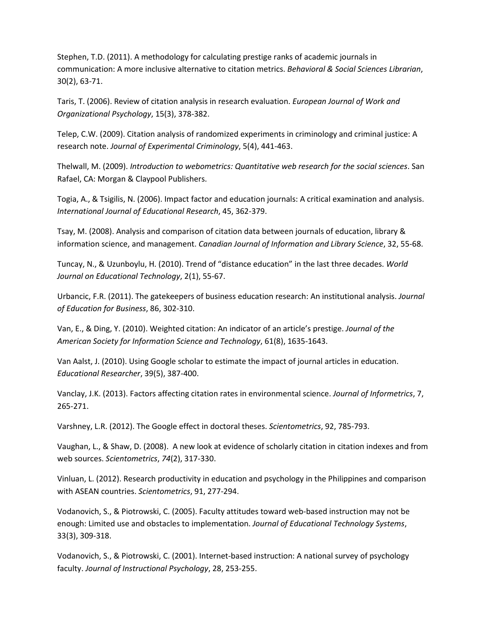Stephen, T.D. (2011). A methodology for calculating prestige ranks of academic journals in communication: A more inclusive alternative to citation metrics. *Behavioral & Social Sciences Librarian*, 30(2), 63-71.

Taris, T. (2006). Review of citation analysis in research evaluation. *European Journal of Work and Organizational Psychology*, 15(3), 378-382.

Telep, C.W. (2009). Citation analysis of randomized experiments in criminology and criminal justice: A research note. *Journal of Experimental Criminology*, 5(4), 441-463.

Thelwall, M. (2009). *Introduction to webometrics: Quantitative web research for the social sciences*. San Rafael, CA: Morgan & Claypool Publishers.

Togia, A., & Tsigilis, N. (2006). Impact factor and education journals: A critical examination and analysis. *International Journal of Educational Research*, 45, 362-379.

Tsay, M. (2008). Analysis and comparison of citation data between journals of education, library & information science, and management. *Canadian Journal of Information and Library Science*, 32, 55-68.

Tuncay, N., & Uzunboylu, H. (2010). Trend of "distance education" in the last three decades. *World Journal on Educational Technology*, 2(1), 55-67.

Urbancic, F.R. (2011). The gatekeepers of business education research: An institutional analysis. *Journal of Education for Business*, 86, 302-310.

Van, E., & Ding, Y. (2010). Weighted citation: An indicator of an article's prestige. *Journal of the American Society for Information Science and Technology*, 61(8), 1635-1643.

Van Aalst, J. (2010). Using Google scholar to estimate the impact of journal articles in education. *Educational Researcher*, 39(5), 387-400.

Vanclay, J.K. (2013). Factors affecting citation rates in environmental science. *Journal of Informetrics*, 7, 265-271.

Varshney, L.R. (2012). The Google effect in doctoral theses. *Scientometrics*, 92, 785-793.

Vaughan, L., & Shaw, D. (2008). A new look at evidence of scholarly citation in citation indexes and from web sources. *Scientometrics*, *74*(2), 317-330.

Vinluan, L. (2012). Research productivity in education and psychology in the Philippines and comparison with ASEAN countries. *Scientometrics*, 91, 277-294.

Vodanovich, S., & Piotrowski, C. (2005). Faculty attitudes toward web-based instruction may not be enough: Limited use and obstacles to implementation. *Journal of Educational Technology Systems*, 33(3), 309-318.

Vodanovich, S., & Piotrowski, C. (2001). Internet-based instruction: A national survey of psychology faculty. *Journal of Instructional Psychology*, 28, 253-255.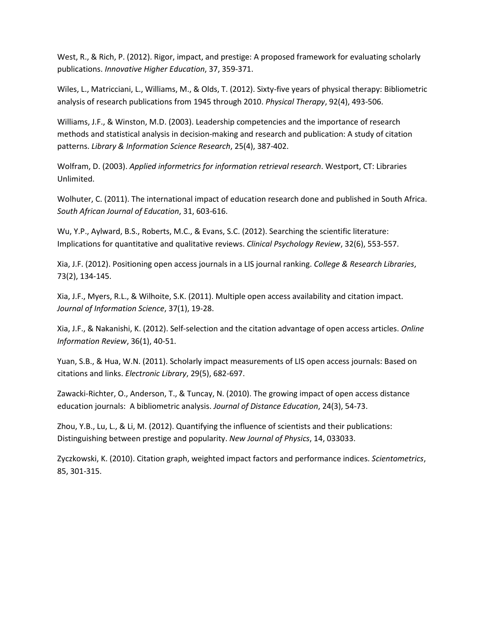West, R., & Rich, P. (2012). Rigor, impact, and prestige: A proposed framework for evaluating scholarly publications. *Innovative Higher Education*, 37, 359-371.

Wiles, L., Matricciani, L., Williams, M., & Olds, T. (2012). Sixty-five years of physical therapy: Bibliometric analysis of research publications from 1945 through 2010. *Physical Therapy*, 92(4), 493-506.

Williams, J.F., & Winston, M.D. (2003). Leadership competencies and the importance of research methods and statistical analysis in decision-making and research and publication: A study of citation patterns. *Library & Information Science Research*, 25(4), 387-402.

Wolfram, D. (2003). *Applied informetrics for information retrieval research*. Westport, CT: Libraries Unlimited.

Wolhuter, C. (2011). The international impact of education research done and published in South Africa. *South African Journal of Education*, 31, 603-616.

Wu, Y.P., Aylward, B.S., Roberts, M.C., & Evans, S.C. (2012). Searching the scientific literature: Implications for quantitative and qualitative reviews. *Clinical Psychology Review*, 32(6), 553-557.

Xia, J.F. (2012). Positioning open access journals in a LIS journal ranking. *College & Research Libraries*, 73(2), 134-145.

Xia, J.F., Myers, R.L., & Wilhoite, S.K. (2011). Multiple open access availability and citation impact. *Journal of Information Science*, 37(1), 19-28.

Xia, J.F., & Nakanishi, K. (2012). Self-selection and the citation advantage of open access articles. *Online Information Review*, 36(1), 40-51.

Yuan, S.B., & Hua, W.N. (2011). Scholarly impact measurements of LIS open access journals: Based on citations and links. *Electronic Library*, 29(5), 682-697.

Zawacki-Richter, O., Anderson, T., & Tuncay, N. (2010). The growing impact of open access distance education journals: A bibliometric analysis. *Journal of Distance Education*, 24(3), 54-73.

Zhou, Y.B., Lu, L., & Li, M. (2012). Quantifying the influence of scientists and their publications: Distinguishing between prestige and popularity. *New Journal of Physics*, 14, 033033.

Zyczkowski, K. (2010). Citation graph, weighted impact factors and performance indices. *Scientometrics*, 85, 301-315.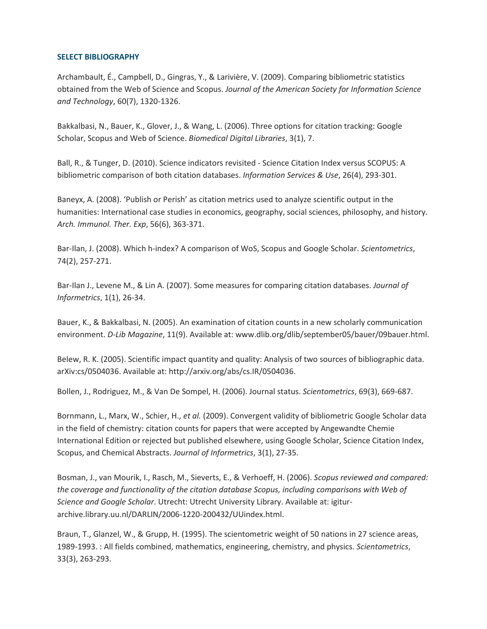## **SELECT BIBLIOGRAPHY**

Archambault, É., Campbell, D., Gingras, Y., & Larivière, V. (2009). Comparing bibliometric statistics obtained from the Web of Science and Scopus. *Journal of the American Society for Information Science and Technology*, 60(7), 1320-1326.

Bakkalbasi, N., Bauer, K., Glover, J., & Wang, L. (2006). Three options for citation tracking: Google Scholar, Scopus and Web of Science. *Biomedical Digital Libraries*, 3(1), 7.

Ball, R., & Tunger, D. (2010). Science indicators revisited - Science Citation Index versus SCOPUS: A bibliometric comparison of both citation databases. *Information Services & Use*, 26(4), 293-301.

Baneyx, A. (2008). 'Publish or Perish' as citation metrics used to analyze scientific output in the humanities: International case studies in economics, geography, social sciences, philosophy, and history. *Arch. Immunol. Ther. Exp*, 56(6), 363-371.

Bar-Ilan, J. (2008). Which h-index? A comparison of WoS, Scopus and Google Scholar. *Scientometrics*, 74(2), 257-271.

Bar-Ilan J., Levene M., & Lin A. (2007). Some measures for comparing citation databases. *Journal of Informetrics*, 1(1), 26-34.

Bauer, K., & Bakkalbasi, N. (2005). An examination of citation counts in a new scholarly communication environment. *D-Lib Magazine*, 11(9). Available at: www.dlib.org/dlib/september05/bauer/09bauer.html.

Belew, R. K. (2005). Scientific impact quantity and quality: Analysis of two sources of bibliographic data. arXiv:cs/0504036. Available at: http://arxiv.org/abs/cs.IR/0504036.

Bollen, J., Rodriguez, M., & Van De Sompel, H. (2006). Journal status. *Scientometrics*, 69(3), 669-687.

Bornmann, L., Marx, W., Schier, H., *et al.* (2009). Convergent validity of bibliometric Google Scholar data in the field of chemistry: citation counts for papers that were accepted by Angewandte Chemie International Edition or rejected but published elsewhere, using Google Scholar, Science Citation Index, Scopus, and Chemical Abstracts. *Journal of Informetrics*, 3(1), 27-35.

Bosman, J., van Mourik, I., Rasch, M., Sieverts, E., & Verhoeff, H. (2006). *Scopus reviewed and compared: the coverage and functionality of the citation database Scopus, including comparisons with Web of Science and Google Scholar*. Utrecht: Utrecht University Library. Available at: igiturarchive.library.uu.nl/DARLIN/2006-1220-200432/UUindex.html.

Braun, T., Glanzel, W., & Grupp, H. (1995). The scientometric weight of 50 nations in 27 science areas, 1989-1993. : All fields combined, mathematics, engineering, chemistry, and physics. *Scientometrics*, 33(3), 263-293.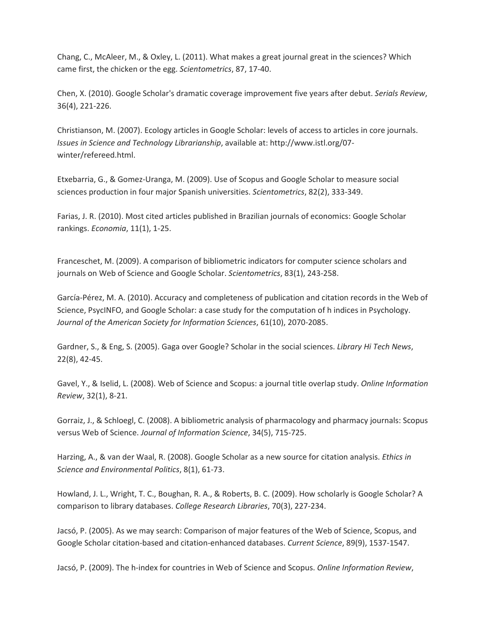Chang, C., McAleer, M., & Oxley, L. (2011). What makes a great journal great in the sciences? Which came first, the chicken or the egg. *Scientometrics*, 87, 17-40.

Chen, X. (2010). Google Scholar's dramatic coverage improvement five years after debut. *Serials Review*, 36(4), 221-226.

Christianson, M. (2007). Ecology articles in Google Scholar: levels of access to articles in core journals. *Issues in Science and Technology Librarianship*, available at: http://www.istl.org/07 winter/refereed.html.

Etxebarria, G., & Gomez-Uranga, M. (2009). Use of Scopus and Google Scholar to measure social sciences production in four major Spanish universities. *Scientometrics*, 82(2), 333-349.

Farias, J. R. (2010). Most cited articles published in Brazilian journals of economics: Google Scholar rankings. *Economia*, 11(1), 1-25.

Franceschet, M. (2009). A comparison of bibliometric indicators for computer science scholars and journals on Web of Science and Google Scholar. *Scientometrics*, 83(1), 243-258.

García-Pérez, M. A. (2010). Accuracy and completeness of publication and citation records in the Web of Science, PsycINFO, and Google Scholar: a case study for the computation of h indices in Psychology. *Journal of the American Society for Information Sciences*, 61(10), 2070-2085.

Gardner, S., & Eng, S. (2005). Gaga over Google? Scholar in the social sciences. *Library Hi Tech News*, 22(8), 42-45.

Gavel, Y., & Iselid, L. (2008). Web of Science and Scopus: a journal title overlap study. *Online Information Review*, 32(1), 8-21.

Gorraiz, J., & Schloegl, C. (2008). A bibliometric analysis of pharmacology and pharmacy journals: Scopus versus Web of Science. *Journal of Information Science*, 34(5), 715-725.

Harzing, A., & van der Waal, R. (2008). Google Scholar as a new source for citation analysis. *Ethics in Science and Environmental Politics*, 8(1), 61-73.

Howland, J. L., Wright, T. C., Boughan, R. A., & Roberts, B. C. (2009). How scholarly is Google Scholar? A comparison to library databases. *College Research Libraries*, 70(3), 227-234.

Jacsó, P. (2005). As we may search: Comparison of major features of the Web of Science, Scopus, and Google Scholar citation-based and citation-enhanced databases. *Current Science*, 89(9), 1537-1547.

Jacsó, P. (2009). The h-index for countries in Web of Science and Scopus. *Online Information Review*,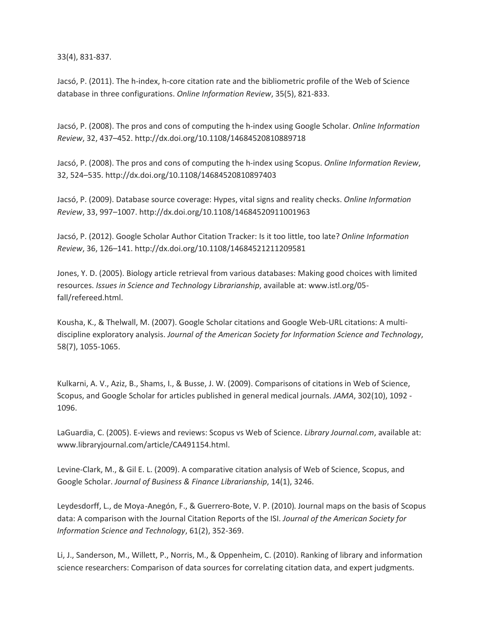33(4), 831-837.

Jacsó, P. (2011). The h-index, h-core citation rate and the bibliometric profile of the Web of Science database in three configurations. *Online Information Review*, 35(5), 821-833.

Jacsó, P. (2008). The pros and cons of computing the h-index using Google Scholar. *Online Information Review*, 32, 437–452. http://dx.doi.org/10.1108/14684520810889718

Jacsó, P. (2008). The pros and cons of computing the h-index using Scopus. *Online Information Review*, 32, 524–535. http://dx.doi.org/10.1108/14684520810897403

Jacsó, P. (2009). Database source coverage: Hypes, vital signs and reality checks. *Online Information Review*, 33, 997–1007. http://dx.doi.org/10.1108/14684520911001963

Jacsó, P. (2012). Google Scholar Author Citation Tracker: Is it too little, too late? *Online Information Review*, 36, 126–141. http://dx.doi.org/10.1108/14684521211209581

Jones, Y. D. (2005). Biology article retrieval from various databases: Making good choices with limited resources. *Issues in Science and Technology Librarianship*, available at: www.istl.org/05 fall/refereed.html.

Kousha, K., & Thelwall, M. (2007). Google Scholar citations and Google Web-URL citations: A multidiscipline exploratory analysis. *Journal of the American Society for Information Science and Technology*, 58(7), 1055-1065.

Kulkarni, A. V., Aziz, B., Shams, I., & Busse, J. W. (2009). Comparisons of citations in Web of Science, Scopus, and Google Scholar for articles published in general medical journals. *JAMA*, 302(10), 1092 - 1096.

LaGuardia, C. (2005). E-views and reviews: Scopus vs Web of Science. *Library Journal.com*, available at: www.libraryjournal.com/article/CA491154.html.

Levine-Clark, M., & Gil E. L. (2009). A comparative citation analysis of Web of Science, Scopus, and Google Scholar. *Journal of Business & Finance Librarianship*, 14(1), 3246.

Leydesdorff, L., de Moya-Anegón, F., & Guerrero-Bote, V. P. (2010). Journal maps on the basis of Scopus data: A comparison with the Journal Citation Reports of the ISI. *Journal of the American Society for Information Science and Technology*, 61(2), 352-369.

Li, J., Sanderson, M., Willett, P., Norris, M., & Oppenheim, C. (2010). Ranking of library and information science researchers: Comparison of data sources for correlating citation data, and expert judgments.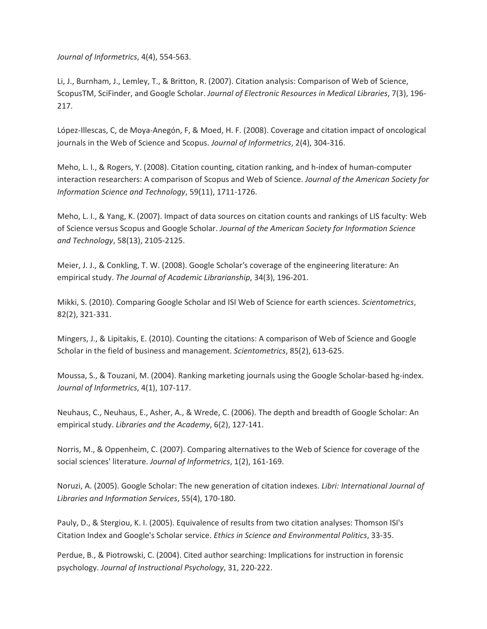*Journal of Informetrics*, 4(4), 554-563.

Li, J., Burnham, J., Lemley, T., & Britton, R. (2007). Citation analysis: Comparison of Web of Science, ScopusTM, SciFinder, and Google Scholar. *Journal of Electronic Resources in Medical Libraries*, 7(3), 196- 217.

López-Illescas, C, de Moya-Anegón, F, & Moed, H. F. (2008). Coverage and citation impact of oncological journals in the Web of Science and Scopus. *Journal of Informetrics*, 2(4), 304-316.

Meho, L. I., & Rogers, Y. (2008). Citation counting, citation ranking, and h-index of human-computer interaction researchers: A comparison of Scopus and Web of Science. *Journal of the American Society for Information Science and Technology*, 59(11), 1711-1726.

Meho, L. I., & Yang, K. (2007). Impact of data sources on citation counts and rankings of LIS faculty: Web of Science versus Scopus and Google Scholar. *Journal of the American Society for Information Science and Technology*, 58(13), 2105-2125.

Meier, J. J., & Conkling, T. W. (2008). Google Scholar's coverage of the engineering literature: An empirical study. *The Journal of Academic Librarianship*, 34(3), 196-201.

Mikki, S. (2010). Comparing Google Scholar and ISI Web of Science for earth sciences. *Scientometrics*, 82(2), 321-331.

Mingers, J., & Lipitakis, E. (2010). Counting the citations: A comparison of Web of Science and Google Scholar in the field of business and management. *Scientometrics*, 85(2), 613-625.

Moussa, S., & Touzani, M. (2004). Ranking marketing journals using the Google Scholar-based hg-index. *Journal of Informetrics*, 4(1), 107-117.

Neuhaus, C., Neuhaus, E., Asher, A., & Wrede, C. (2006). The depth and breadth of Google Scholar: An empirical study. *Libraries and the Academy*, 6(2), 127-141.

Norris, M., & Oppenheim, C. (2007). Comparing alternatives to the Web of Science for coverage of the social sciences' literature. *Journal of Informetrics*, 1(2), 161-169.

Noruzi, A. (2005). Google Scholar: The new generation of citation indexes. *Libri: International Journal of Libraries and Information Services*, 55(4), 170-180.

Pauly, D., & Stergiou, K. I. (2005). Equivalence of results from two citation analyses: Thomson ISI's Citation Index and Google's Scholar service. *Ethics in Science and Environmental Politics*, 33-35.

Perdue, B., & Piotrowski, C. (2004). Cited author searching: Implications for instruction in forensic psychology. *Journal of Instructional Psychology*, 31, 220-222.